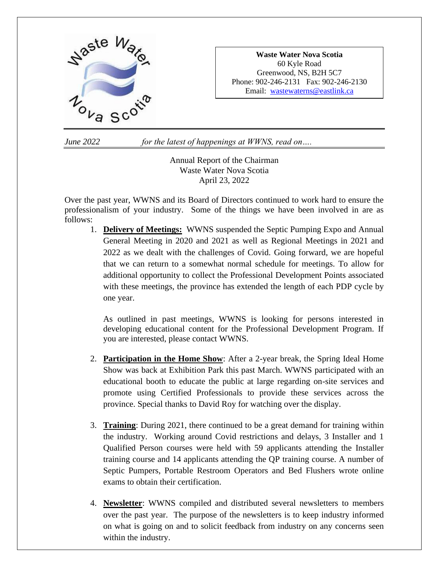

**Waste Water Nova Scotia** 60 Kyle Road Greenwood, NS, B2H 5C7 Phone: 902-246-2131 Fax: 902-246-2130 Email: [wastewaterns@eastlink.ca](mailto:wastewaterns@eastlink.ca)

*June 2022 for the latest of happenings at WWNS, read on….*

Annual Report of the Chairman Waste Water Nova Scotia April 23, 2022

Over the past year, WWNS and its Board of Directors continued to work hard to ensure the professionalism of your industry. Some of the things we have been involved in are as follows:

1. **Delivery of Meetings:** WWNS suspended the Septic Pumping Expo and Annual General Meeting in 2020 and 2021 as well as Regional Meetings in 2021 and 2022 as we dealt with the challenges of Covid. Going forward, we are hopeful that we can return to a somewhat normal schedule for meetings. To allow for additional opportunity to collect the Professional Development Points associated with these meetings, the province has extended the length of each PDP cycle by one year.

As outlined in past meetings, WWNS is looking for persons interested in developing educational content for the Professional Development Program. If you are interested, please contact WWNS.

- 2. **Participation in the Home Show**: After a 2-year break, the Spring Ideal Home Show was back at Exhibition Park this past March. WWNS participated with an educational booth to educate the public at large regarding on-site services and promote using Certified Professionals to provide these services across the province. Special thanks to David Roy for watching over the display.
- 3. **Training**: During 2021, there continued to be a great demand for training within the industry. Working around Covid restrictions and delays, 3 Installer and 1 Qualified Person courses were held with 59 applicants attending the Installer training course and 14 applicants attending the QP training course. A number of Septic Pumpers, Portable Restroom Operators and Bed Flushers wrote online exams to obtain their certification.
- 4. **Newsletter**: WWNS compiled and distributed several newsletters to members over the past year. The purpose of the newsletters is to keep industry informed on what is going on and to solicit feedback from industry on any concerns seen within the industry.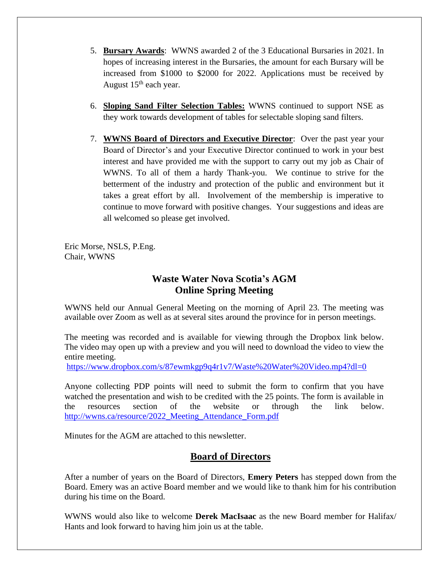- 5. **Bursary Awards**: WWNS awarded 2 of the 3 Educational Bursaries in 2021. In hopes of increasing interest in the Bursaries, the amount for each Bursary will be increased from \$1000 to \$2000 for 2022. Applications must be received by August  $15<sup>th</sup>$  each year.
- 6. **Sloping Sand Filter Selection Tables:** WWNS continued to support NSE as they work towards development of tables for selectable sloping sand filters.
- 7. **WWNS Board of Directors and Executive Director**: Over the past year your Board of Director's and your Executive Director continued to work in your best interest and have provided me with the support to carry out my job as Chair of WWNS. To all of them a hardy Thank-you. We continue to strive for the betterment of the industry and protection of the public and environment but it takes a great effort by all. Involvement of the membership is imperative to continue to move forward with positive changes. Your suggestions and ideas are all welcomed so please get involved.

Eric Morse, NSLS, P.Eng. Chair, WWNS

# **Waste Water Nova Scotia's AGM Online Spring Meeting**

WWNS held our Annual General Meeting on the morning of April 23. The meeting was available over Zoom as well as at several sites around the province for in person meetings.

The meeting was recorded and is available for viewing through the Dropbox link below. The video may open up with a preview and you will need to download the video to view the entire meeting.

<https://www.dropbox.com/s/87ewmkgp9q4r1v7/Waste%20Water%20Video.mp4?dl=0>

Anyone collecting PDP points will need to submit the form to confirm that you have watched the presentation and wish to be credited with the 25 points. The form is available in the resources section of the website or through the link below. [http://wwns.ca/resource/2022\\_Meeting\\_Attendance\\_Form.pdf](http://wwns.ca/resource/2022_Meeting_Attendance_Form.pdf)

Minutes for the AGM are attached to this newsletter.

# **Board of Directors**

After a number of years on the Board of Directors, **Emery Peters** has stepped down from the Board. Emery was an active Board member and we would like to thank him for his contribution during his time on the Board.

WWNS would also like to welcome **Derek MacIsaac** as the new Board member for Halifax/ Hants and look forward to having him join us at the table.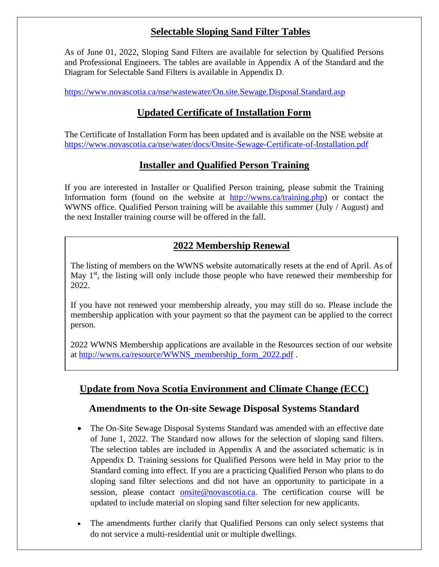# **Selectable Sloping Sand Filter Tables**

As of June 01, 2022, Sloping Sand Filters are available for selection by Qualified Persons and Professional Engineers. The tables are available in Appendix A of the Standard and the Diagram for Selectable Sand Filters is available in Appendix D.

<https://www.novascotia.ca/nse/wastewater/On.site.Sewage.Disposal.Standard.asp>

## **Updated Certificate of Installation Form**

The Certificate of Installation Form has been updated and is available on the NSE website at <https://www.novascotia.ca/nse/water/docs/Onsite-Sewage-Certificate-of-Installation.pdf>

### **Installer and Qualified Person Training**

If you are interested in Installer or Qualified Person training, please submit the Training Information form (found on the website at [http://wwns.ca/training.php\)](http://wwns.ca/training.php) or contact the WWNS office. Qualified Person training will be available this summer (July / August) and the next Installer training course will be offered in the fall.

# **2022 Membership Renewal**

The listing of members on the WWNS website automatically resets at the end of April. As of May  $1<sup>st</sup>$ , the listing will only include those people who have renewed their membership for 2022.

If you have not renewed your membership already, you may still do so. Please include the membership application with your payment so that the payment can be applied to the correct person.

2022 WWNS Membership applications are available in the Resources section of our website at [http://wwns.ca/resource/WWNS\\_membership\\_form\\_2022.pdf](http://wwns.ca/resource/WWNS_membership_form_2022.pdf) .

# **Update from Nova Scotia Environment and Climate Change (ECC)**

### **Amendments to the On-site Sewage Disposal Systems Standard**

- The On-Site Sewage Disposal Systems Standard was amended with an effective date of June 1, 2022. The Standard now allows for the selection of sloping sand filters. The selection tables are included in Appendix A and the associated schematic is in Appendix D. Training sessions for Qualified Persons were held in May prior to the Standard coming into effect. If you are a practicing Qualified Person who plans to do sloping sand filter selections and did not have an opportunity to participate in a session, please contact [onsite@novascotia.ca.](mailto:onsite@novascotia.ca) The certification course will be updated to include material on sloping sand filter selection for new applicants.
- The amendments further clarify that Qualified Persons can only select systems that do not service a multi-residential unit or multiple dwellings.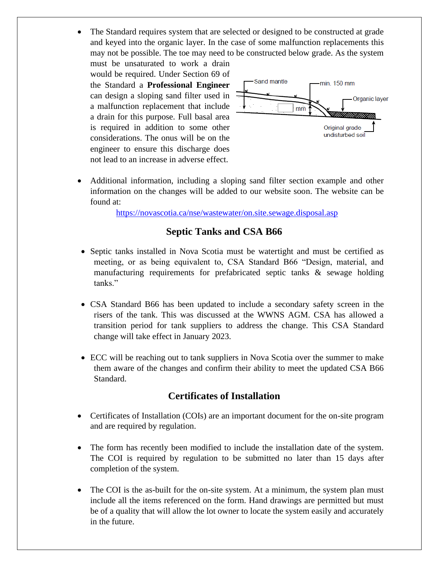• The Standard requires system that are selected or designed to be constructed at grade and keyed into the organic layer. In the case of some malfunction replacements this may not be possible. The toe may need to be constructed below grade. As the system

must be unsaturated to work a drain would be required. Under Section 69 of the Standard a **Professional Engineer** can design a sloping sand filter used in a malfunction replacement that include a drain for this purpose. Full basal area is required in addition to some other considerations. The onus will be on the engineer to ensure this discharge does not lead to an increase in adverse effect.



• Additional information, including a sloping sand filter section example and other information on the changes will be added to our website soon. The website can be found at:

<https://novascotia.ca/nse/wastewater/on.site.sewage.disposal.asp>

## **Septic Tanks and CSA B66**

- Septic tanks installed in Nova Scotia must be watertight and must be certified as meeting, or as being equivalent to, CSA Standard B66 "Design, material, and manufacturing requirements for prefabricated septic tanks & sewage holding tanks."
- CSA Standard B66 has been updated to include a secondary safety screen in the risers of the tank. This was discussed at the WWNS AGM. CSA has allowed a transition period for tank suppliers to address the change. This CSA Standard change will take effect in January 2023.
- ECC will be reaching out to tank suppliers in Nova Scotia over the summer to make them aware of the changes and confirm their ability to meet the updated CSA B66 Standard.

### **Certificates of Installation**

- Certificates of Installation (COIs) are an important document for the on-site program and are required by regulation.
- The form has recently been modified to include the installation date of the system. The COI is required by regulation to be submitted no later than 15 days after completion of the system.
- The COI is the as-built for the on-site system. At a minimum, the system plan must include all the items referenced on the form. Hand drawings are permitted but must be of a quality that will allow the lot owner to locate the system easily and accurately in the future.